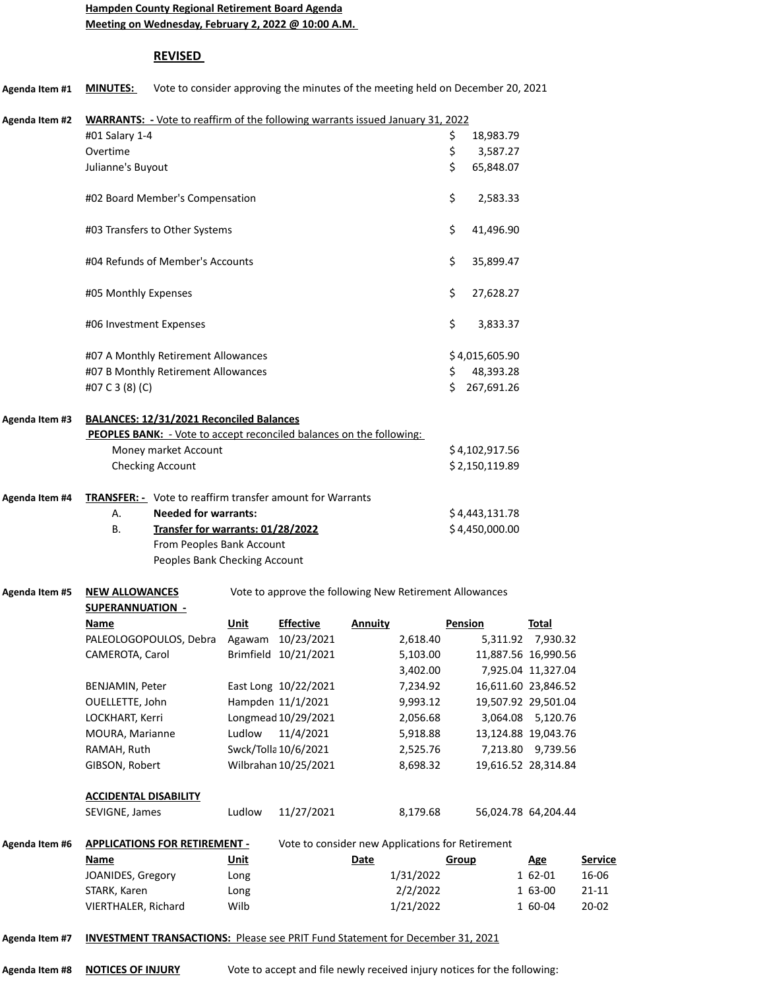## **Hampden County Regional Retirement Board Agenda Meeting on Wednesday, February 2, 2022 @ 10:00 A.M.**

## **REVISED**

| Agenda Item #1 | Vote to consider approving the minutes of the meeting held on December 20, 2021<br><b>MINUTES:</b> |             |                                                  |                |                      |              |                     |                    |                |
|----------------|----------------------------------------------------------------------------------------------------|-------------|--------------------------------------------------|----------------|----------------------|--------------|---------------------|--------------------|----------------|
| Agenda Item #2 | WARRANTS: - Vote to reaffirm of the following warrants issued January 31, 2022                     |             |                                                  |                |                      |              |                     |                    |                |
|                | #01 Salary 1-4                                                                                     |             |                                                  |                |                      | \$           | 18,983.79           |                    |                |
|                | Overtime                                                                                           |             |                                                  |                |                      | \$           | 3,587.27            |                    |                |
|                | Julianne's Buyout                                                                                  |             |                                                  |                |                      | Ś.           | 65,848.07           |                    |                |
|                | #02 Board Member's Compensation                                                                    |             |                                                  |                |                      | \$           | 2,583.33            |                    |                |
|                | #03 Transfers to Other Systems                                                                     |             |                                                  |                |                      | \$           | 41,496.90           |                    |                |
|                | #04 Refunds of Member's Accounts                                                                   |             |                                                  |                |                      | \$           | 35,899.47           |                    |                |
|                | #05 Monthly Expenses                                                                               |             |                                                  |                |                      | \$           | 27,628.27           |                    |                |
|                | #06 Investment Expenses                                                                            |             |                                                  |                |                      | \$           | 3,833.37            |                    |                |
|                | #07 A Monthly Retirement Allowances                                                                |             |                                                  |                |                      |              | \$4,015,605.90      |                    |                |
|                | #07 B Monthly Retirement Allowances                                                                |             |                                                  |                |                      | \$           | 48,393.28           |                    |                |
|                | #07 C 3 (8) (C)                                                                                    |             |                                                  |                |                      | Ś            | 267,691.26          |                    |                |
| Agenda Item #3 | BALANCES: 12/31/2021 Reconciled Balances                                                           |             |                                                  |                |                      |              |                     |                    |                |
|                | <b>PEOPLES BANK:</b> - Vote to accept reconciled balances on the following:                        |             |                                                  |                |                      |              |                     |                    |                |
|                | Money market Account                                                                               |             |                                                  |                |                      |              | \$4,102,917.56      |                    |                |
|                | Checking Account                                                                                   |             |                                                  |                |                      |              | \$2,150,119.89      |                    |                |
| Agenda Item #4 | <b>TRANSFER:</b> - Vote to reaffirm transfer amount for Warrants                                   |             |                                                  |                |                      |              |                     |                    |                |
|                | А.<br><b>Needed for warrants:</b>                                                                  |             |                                                  |                |                      |              | \$4,443,131.78      |                    |                |
|                | В.<br>Transfer for warrants: 01/28/2022                                                            |             |                                                  |                |                      |              | \$4,450,000.00      |                    |                |
|                | From Peoples Bank Account                                                                          |             |                                                  |                |                      |              |                     |                    |                |
|                | Peoples Bank Checking Account                                                                      |             |                                                  |                |                      |              |                     |                    |                |
| Agenda Item #5 | Vote to approve the following New Retirement Allowances<br><b>NEW ALLOWANCES</b>                   |             |                                                  |                |                      |              |                     |                    |                |
|                | SUPERANNUATION -                                                                                   |             |                                                  |                |                      |              |                     |                    |                |
|                | <u>Name</u>                                                                                        | Unit        | <b>Effective</b>                                 | <b>Annuity</b> |                      | Pension      |                     | Total              |                |
|                | PALEOLOGOPOULOS, Debra                                                                             |             | Agawam 10/23/2021                                |                | 2,618.40             |              | 11,887.56 16,990.56 | 5,311.92 7,930.32  |                |
|                | CAMEROTA, Carol                                                                                    |             | Brimfield 10/21/2021                             |                | 5,103.00<br>3,402.00 |              |                     | 7,925.04 11,327.04 |                |
|                | BENJAMIN, Peter                                                                                    |             | East Long 10/22/2021                             |                | 7,234.92             |              | 16,611.60 23,846.52 |                    |                |
|                | OUELLETTE, John                                                                                    |             | Hampden 11/1/2021                                |                | 9,993.12             |              | 19,507.92 29,501.04 |                    |                |
|                | LOCKHART, Kerri                                                                                    |             | Longmead 10/29/2021                              |                | 2,056.68             |              |                     | 3,064.08 5,120.76  |                |
|                | MOURA, Marianne                                                                                    | Ludlow      | 11/4/2021                                        |                | 5,918.88             |              | 13,124.88 19,043.76 |                    |                |
|                | RAMAH, Ruth                                                                                        |             | Swck/Tolla 10/6/2021                             |                | 2,525.76             |              |                     | 7,213.80 9,739.56  |                |
|                | GIBSON, Robert                                                                                     |             | Wilbrahan 10/25/2021                             |                | 8,698.32             |              | 19,616.52 28,314.84 |                    |                |
|                | <b>ACCIDENTAL DISABILITY</b>                                                                       |             |                                                  |                |                      |              |                     |                    |                |
|                | SEVIGNE, James                                                                                     | Ludlow      | 11/27/2021                                       |                | 8,179.68             |              | 56,024.78 64,204.44 |                    |                |
| Agenda Item #6 | <b>APPLICATIONS FOR RETIREMENT -</b>                                                               |             | Vote to consider new Applications for Retirement |                |                      |              |                     |                    |                |
|                | <b>Name</b>                                                                                        | <u>Unit</u> |                                                  | <b>Date</b>    |                      | <b>Group</b> |                     | <u>Age</u>         | <b>Service</b> |
|                | JOANIDES, Gregory                                                                                  | Long        |                                                  |                | 1/31/2022            |              |                     | 1 62-01            | 16-06          |
|                | STARK, Karen                                                                                       | Long        |                                                  |                | 2/2/2022             |              |                     | 1 63-00            | $21 - 11$      |
|                | VIERTHALER, Richard                                                                                | Wilb        |                                                  |                | 1/21/2022            |              |                     | 1 60-04            | $20 - 02$      |
| Agenda Item #7 | <b>INVESTMENT TRANSACTIONS:</b> Please see PRIT Fund Statement for December 31, 2021               |             |                                                  |                |                      |              |                     |                    |                |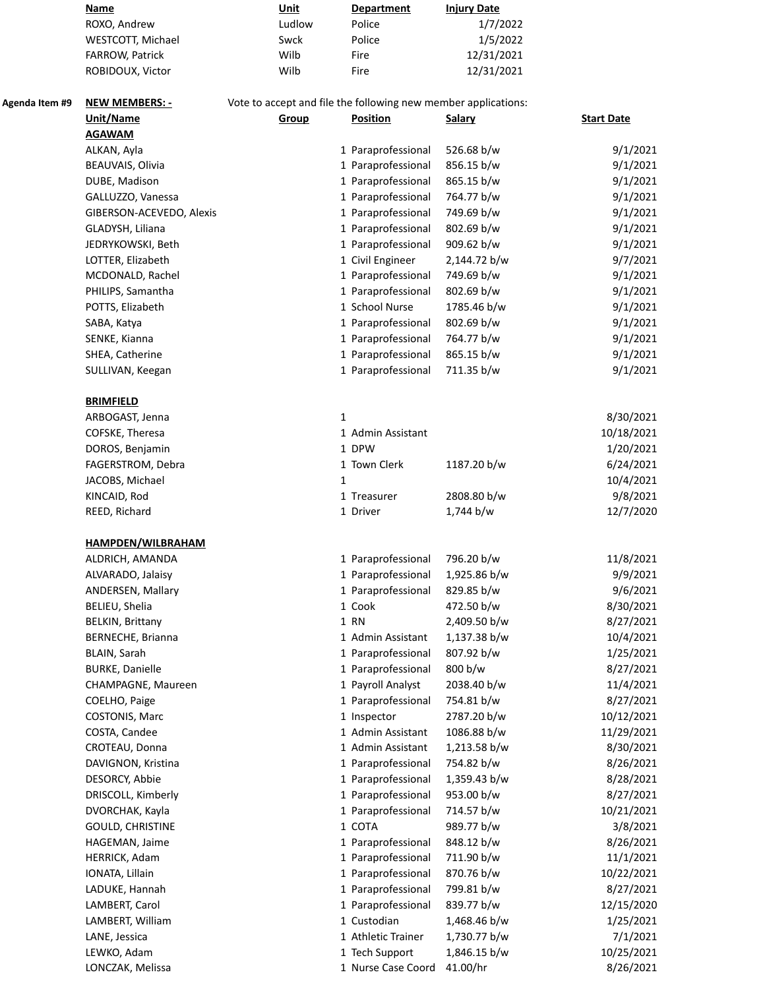|                | <b>Name</b>              | Unit                                                           | <b>Department</b>  | <b>Injury Date</b> |                   |
|----------------|--------------------------|----------------------------------------------------------------|--------------------|--------------------|-------------------|
|                | ROXO, Andrew             | Ludlow                                                         | Police             | 1/7/2022           |                   |
|                | WESTCOTT, Michael        | Swck                                                           | Police             | 1/5/2022           |                   |
|                | FARROW, Patrick          | Wilb                                                           | Fire               | 12/31/2021         |                   |
|                | ROBIDOUX, Victor         | Wilb                                                           | Fire               | 12/31/2021         |                   |
| Agenda Item #9 | <b>NEW MEMBERS: -</b>    | Vote to accept and file the following new member applications: |                    |                    |                   |
|                | Unit/Name                | Group                                                          | <b>Position</b>    | <b>Salary</b>      | <b>Start Date</b> |
|                | <b>AGAWAM</b>            |                                                                |                    |                    |                   |
|                | ALKAN, Ayla              |                                                                | 1 Paraprofessional | 526.68 b/w         | 9/1/2021          |
|                | BEAUVAIS, Olivia         |                                                                | 1 Paraprofessional | 856.15 b/w         | 9/1/2021          |
|                | DUBE, Madison            |                                                                | 1 Paraprofessional | 865.15 b/w         | 9/1/2021          |
|                | GALLUZZO, Vanessa        |                                                                | 1 Paraprofessional | 764.77 b/w         | 9/1/2021          |
|                | GIBERSON-ACEVEDO, Alexis |                                                                | 1 Paraprofessional | 749.69 b/w         | 9/1/2021          |
|                | GLADYSH, Liliana         |                                                                | 1 Paraprofessional | 802.69 b/w         | 9/1/2021          |
|                | JEDRYKOWSKI, Beth        |                                                                | 1 Paraprofessional | 909.62 b/w         | 9/1/2021          |
|                | LOTTER, Elizabeth        |                                                                | 1 Civil Engineer   | 2,144.72 b/w       | 9/7/2021          |
|                | MCDONALD, Rachel         |                                                                | 1 Paraprofessional | 749.69 b/w         | 9/1/2021          |
|                | PHILIPS, Samantha        |                                                                | 1 Paraprofessional | 802.69 b/w         | 9/1/2021          |
|                | POTTS, Elizabeth         |                                                                | 1 School Nurse     | 1785.46 b/w        | 9/1/2021          |
|                |                          |                                                                |                    |                    |                   |
|                | SABA, Katya              |                                                                | 1 Paraprofessional | 802.69 b/w         | 9/1/2021          |
|                | SENKE, Kianna            |                                                                | 1 Paraprofessional | 764.77 b/w         | 9/1/2021          |
|                | SHEA, Catherine          |                                                                | 1 Paraprofessional | 865.15 b/w         | 9/1/2021          |
|                | SULLIVAN, Keegan         |                                                                | 1 Paraprofessional | 711.35 b/w         | 9/1/2021          |
|                | <b>BRIMFIELD</b>         |                                                                |                    |                    |                   |
|                | ARBOGAST, Jenna          |                                                                | 1                  |                    | 8/30/2021         |
|                | COFSKE, Theresa          |                                                                | 1 Admin Assistant  |                    | 10/18/2021        |
|                | DOROS, Benjamin          |                                                                | 1 DPW              |                    | 1/20/2021         |
|                | FAGERSTROM, Debra        |                                                                | 1 Town Clerk       | 1187.20 b/w        | 6/24/2021         |
|                | JACOBS, Michael          |                                                                | 1                  |                    | 10/4/2021         |
|                | KINCAID, Rod             |                                                                | 1 Treasurer        | 2808.80 b/w        | 9/8/2021          |
|                | REED, Richard            |                                                                | 1 Driver           | 1,744 b/w          | 12/7/2020         |
|                | <b>HAMPDEN/WILBRAHAM</b> |                                                                |                    |                    |                   |
|                | ALDRICH, AMANDA          |                                                                | 1 Paraprofessional | 796.20 b/w         | 11/8/2021         |
|                | ALVARADO, Jalaisy        |                                                                | 1 Paraprofessional | 1,925.86 b/w       | 9/9/2021          |
|                | ANDERSEN, Mallary        |                                                                | 1 Paraprofessional | 829.85 b/w         | 9/6/2021          |
|                | BELIEU, Shelia           |                                                                | 1 Cook             | 472.50 b/w         | 8/30/2021         |
|                | <b>BELKIN, Brittany</b>  |                                                                | 1 RN               | 2,409.50 b/w       | 8/27/2021         |
|                | BERNECHE, Brianna        |                                                                | 1 Admin Assistant  | 1,137.38 b/w       | 10/4/2021         |
|                | BLAIN, Sarah             |                                                                | 1 Paraprofessional | 807.92 b/w         | 1/25/2021         |
|                | <b>BURKE, Danielle</b>   |                                                                | 1 Paraprofessional | 800 b/w            | 8/27/2021         |
|                | CHAMPAGNE, Maureen       |                                                                | 1 Payroll Analyst  | 2038.40 b/w        | 11/4/2021         |
|                | COELHO, Paige            |                                                                | 1 Paraprofessional | 754.81 b/w         | 8/27/2021         |
|                | COSTONIS, Marc           |                                                                | 1 Inspector        | 2787.20 b/w        | 10/12/2021        |
|                | COSTA, Candee            |                                                                | 1 Admin Assistant  | 1086.88 b/w        | 11/29/2021        |
|                | CROTEAU, Donna           |                                                                | 1 Admin Assistant  | 1,213.58 b/w       | 8/30/2021         |
|                | DAVIGNON, Kristina       |                                                                | 1 Paraprofessional | 754.82 b/w         | 8/26/2021         |
|                | DESORCY, Abbie           |                                                                | 1 Paraprofessional | 1,359.43 b/w       | 8/28/2021         |
|                | DRISCOLL, Kimberly       |                                                                | 1 Paraprofessional | 953.00 b/w         | 8/27/2021         |
|                | DVORCHAK, Kayla          |                                                                | 1 Paraprofessional | 714.57 b/w         | 10/21/2021        |
|                | <b>GOULD, CHRISTINE</b>  |                                                                | 1 COTA             | 989.77 b/w         | 3/8/2021          |
|                | HAGEMAN, Jaime           |                                                                | 1 Paraprofessional | 848.12 b/w         | 8/26/2021         |

HERRICK, Adam 11/1/2021 1 Paraprofessional 711.90 b/w 11/1/2021 IONATA, Lillain 1 Paraprofessional 870.76 b/w 10/22/2021 LADUKE, Hannah 1 Paraprofessional 799.81 b/w 8/27/2021 LAMBERT, Carol **1 Paraprofessional 839.77 b/w** 12/15/2020 LAMBERT, William 1,468.46 b/w 1/25/2021 LANE, Jessica 1 Athletic Trainer 1,730.77 b/w 7/1/2021

LEWKO, Adam 1 Tech Support 1,846.15 b/w 10/25/2021 LONCZAK, Melissa 1 Nurse Case Coord 41.00/hr 8/26/2021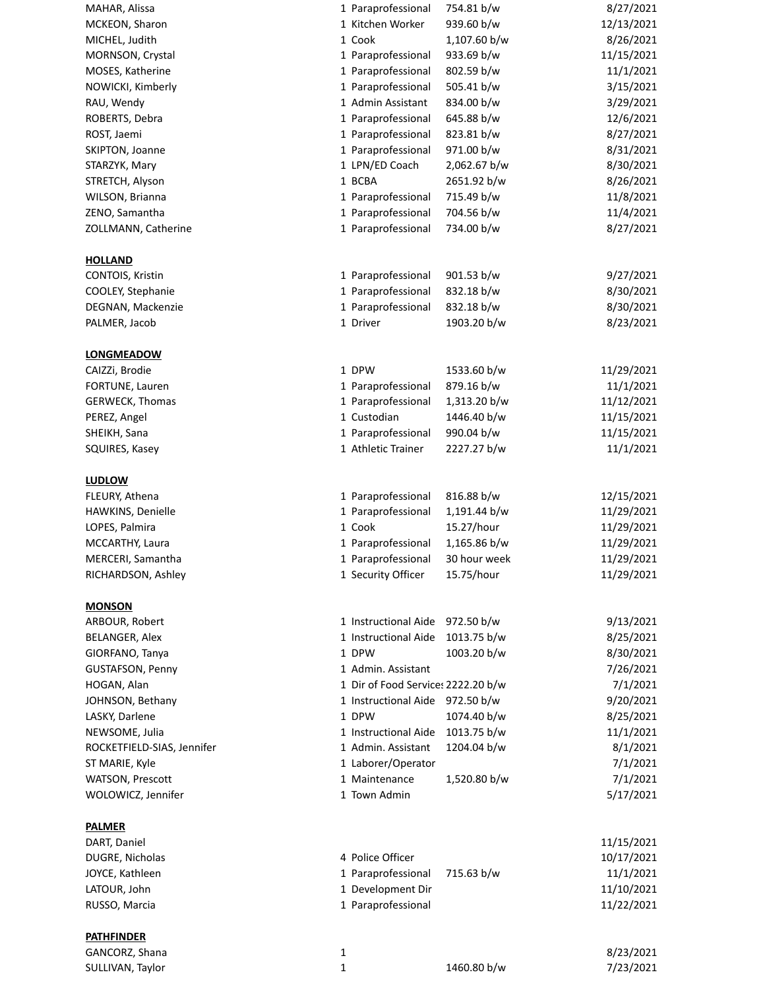| MAHAR, Alissa              | 1 Paraprofessional                 | 8/27/2021<br>754.81 b/w    |
|----------------------------|------------------------------------|----------------------------|
| MCKEON, Sharon             | 1 Kitchen Worker                   | 939.60 b/w<br>12/13/2021   |
| MICHEL, Judith             | 1 Cook                             | 1,107.60 b/w<br>8/26/2021  |
| MORNSON, Crystal           | 1 Paraprofessional                 | 933.69 b/w<br>11/15/2021   |
| MOSES, Katherine           | 1 Paraprofessional                 | 11/1/2021<br>802.59 b/w    |
| NOWICKI, Kimberly          | 1 Paraprofessional                 | 505.41 b/w<br>3/15/2021    |
| RAU, Wendy                 | 1 Admin Assistant                  | 834.00 b/w<br>3/29/2021    |
| ROBERTS, Debra             | 1 Paraprofessional                 | 645.88 b/w<br>12/6/2021    |
| ROST, Jaemi                | 1 Paraprofessional                 | 823.81 b/w<br>8/27/2021    |
| SKIPTON, Joanne            | 1 Paraprofessional                 | 971.00 b/w<br>8/31/2021    |
| STARZYK, Mary              | 1 LPN/ED Coach                     | 2,062.67 b/w<br>8/30/2021  |
| STRETCH, Alyson            | 1 BCBA                             | 8/26/2021<br>2651.92 b/w   |
| WILSON, Brianna            | 1 Paraprofessional                 | 715.49 b/w<br>11/8/2021    |
| ZENO, Samantha             | 1 Paraprofessional                 | 11/4/2021<br>704.56 b/w    |
| ZOLLMANN, Catherine        | 1 Paraprofessional                 | 734.00 b/w<br>8/27/2021    |
| <b>HOLLAND</b>             |                                    |                            |
| CONTOIS, Kristin           | 1 Paraprofessional                 | 901.53 b/w<br>9/27/2021    |
| COOLEY, Stephanie          | 1 Paraprofessional                 | 832.18 b/w<br>8/30/2021    |
| DEGNAN, Mackenzie          | 1 Paraprofessional                 | 8/30/2021<br>832.18 b/w    |
| PALMER, Jacob              | 1 Driver                           | 1903.20 b/w<br>8/23/2021   |
| <b>LONGMEADOW</b>          |                                    |                            |
| CAIZZi, Brodie             | 1 DPW                              | 11/29/2021<br>1533.60 b/w  |
| FORTUNE, Lauren            | 1 Paraprofessional                 | 879.16 b/w<br>11/1/2021    |
| <b>GERWECK, Thomas</b>     | 1 Paraprofessional                 | 1,313.20 b/w<br>11/12/2021 |
| PEREZ, Angel               | 1 Custodian                        | 1446.40 b/w<br>11/15/2021  |
| SHEIKH, Sana               | 1 Paraprofessional                 | 990.04 b/w<br>11/15/2021   |
|                            | 1 Athletic Trainer                 | 2227.27 b/w<br>11/1/2021   |
| SQUIRES, Kasey             |                                    |                            |
| <b>LUDLOW</b>              |                                    |                            |
| FLEURY, Athena             | 1 Paraprofessional                 | 816.88 b/w<br>12/15/2021   |
| HAWKINS, Denielle          | 1 Paraprofessional                 | 1,191.44 b/w<br>11/29/2021 |
| LOPES, Palmira             | 1 Cook                             | 15.27/hour<br>11/29/2021   |
| MCCARTHY, Laura            | 1 Paraprofessional                 | 1,165.86 b/w<br>11/29/2021 |
| MERCERI, Samantha          | 1 Paraprofessional                 | 11/29/2021<br>30 hour week |
| RICHARDSON, Ashley         | 1 Security Officer                 | 11/29/2021<br>15.75/hour   |
| <b>MONSON</b>              |                                    |                            |
| ARBOUR, Robert             | 1 Instructional Aide 972.50 b/w    | 9/13/2021                  |
| BELANGER, Alex             | 1 Instructional Aide               | 1013.75 b/w<br>8/25/2021   |
| GIORFANO, Tanya            | 1 DPW                              | 1003.20 b/w<br>8/30/2021   |
| <b>GUSTAFSON, Penny</b>    | 1 Admin. Assistant                 | 7/26/2021                  |
| HOGAN, Alan                | 1 Dir of Food Service: 2222.20 b/w | 7/1/2021                   |
| JOHNSON, Bethany           | 1 Instructional Aide               | 972.50 b/w<br>9/20/2021    |
| LASKY, Darlene             | 1 DPW                              | 1074.40 b/w<br>8/25/2021   |
| NEWSOME, Julia             | 1 Instructional Aide               | 1013.75 b/w<br>11/1/2021   |
| ROCKETFIELD-SIAS, Jennifer | 1 Admin. Assistant                 | 1204.04 b/w<br>8/1/2021    |
| ST MARIE, Kyle             | 1 Laborer/Operator                 | 7/1/2021                   |
| WATSON, Prescott           | 1 Maintenance                      | 7/1/2021<br>1,520.80 b/w   |
| WOLOWICZ, Jennifer         | 1 Town Admin                       | 5/17/2021                  |
| <b>PALMER</b>              |                                    |                            |
| DART, Daniel               |                                    | 11/15/2021                 |
| DUGRE, Nicholas            | 4 Police Officer                   | 10/17/2021                 |
| JOYCE, Kathleen            | 1 Paraprofessional                 | 715.63 b/w<br>11/1/2021    |
| LATOUR, John               | 1 Development Dir                  | 11/10/2021                 |
| RUSSO, Marcia              | 1 Paraprofessional                 | 11/22/2021                 |
| <b>PATHFINDER</b>          |                                    |                            |

GANCORZ, Shana 8/23/2021 1 SULLIVAN, Taylor 1 1 1460.80 b/w 7/23/2021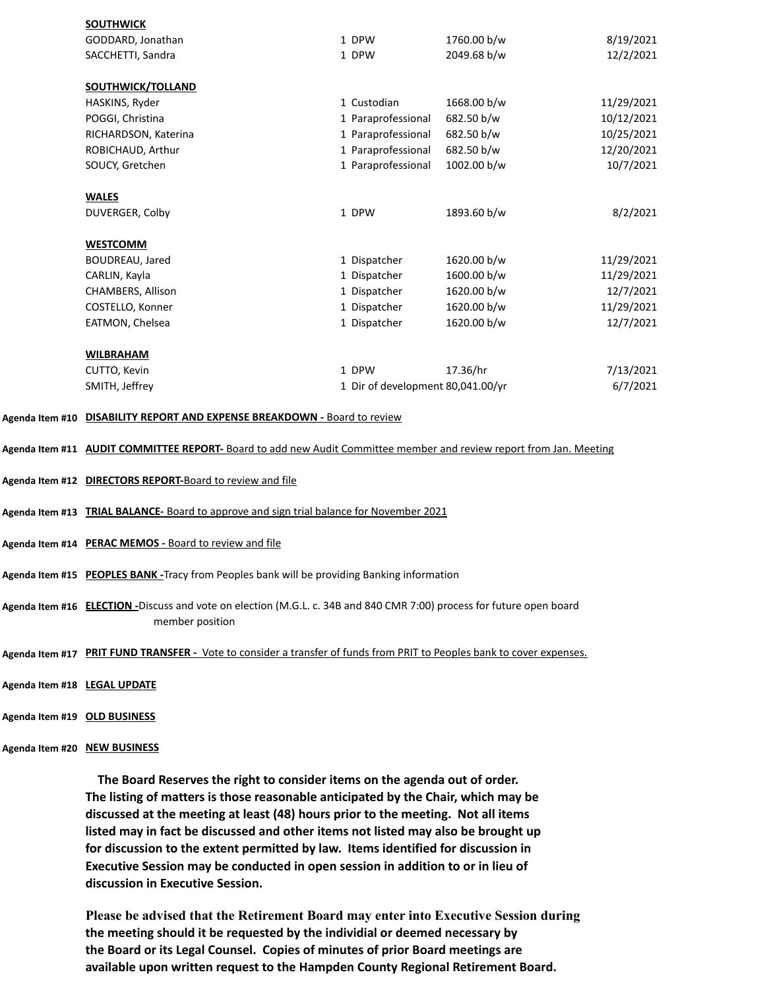| <b>SOUTHWICK</b>     |                                   |             |            |
|----------------------|-----------------------------------|-------------|------------|
| GODDARD, Jonathan    | 1 DPW                             | 1760.00 b/w | 8/19/2021  |
| SACCHETTI, Sandra    | 1 DPW                             | 2049.68 b/w | 12/2/2021  |
| SOUTHWICK/TOLLAND    |                                   |             |            |
|                      |                                   |             |            |
| HASKINS, Ryder       | 1 Custodian                       | 1668.00 b/w | 11/29/2021 |
| POGGI, Christina     | 1 Paraprofessional                | 682.50 b/w  | 10/12/2021 |
| RICHARDSON, Katerina | 1 Paraprofessional                | 682.50 b/w  | 10/25/2021 |
| ROBICHAUD, Arthur    | 1 Paraprofessional                | 682.50 b/w  | 12/20/2021 |
| SOUCY, Gretchen      | 1 Paraprofessional                | 1002.00 b/w | 10/7/2021  |
| <b>WALES</b>         |                                   |             |            |
| DUVERGER, Colby      | 1 DPW                             | 1893.60 b/w | 8/2/2021   |
| <b>WESTCOMM</b>      |                                   |             |            |
| BOUDREAU, Jared      | 1 Dispatcher                      | 1620.00 b/w | 11/29/2021 |
| CARLIN, Kayla        | 1 Dispatcher                      | 1600.00 b/w | 11/29/2021 |
| CHAMBERS, Allison    | 1 Dispatcher                      | 1620.00 b/w | 12/7/2021  |
| COSTELLO, Konner     | 1 Dispatcher                      | 1620.00 b/w | 11/29/2021 |
| EATMON, Chelsea      | 1 Dispatcher                      | 1620.00 b/w | 12/7/2021  |
| <b>WILBRAHAM</b>     |                                   |             |            |
|                      |                                   |             |            |
| CUTTO, Kevin         | 1 DPW                             | 17.36/hr    | 7/13/2021  |
| SMITH, Jeffrey       | 1 Dir of development 80,041.00/yr |             | 6/7/2021   |
|                      |                                   |             |            |

## **Agenda Item #10 DISABILITY REPORT AND EXPENSE BREAKDOWN -** Board to review

- **Agenda Item #11 AUDIT COMMITTEE REPORT-** Board to add new Audit Committee member and review report from Jan. Meeting
- **Agenda Item #12 DIRECTORS REPORT-**Board to review and file
- **Agenda Item #13 TRIAL BALANCE-** Board to approve and sign trial balance for November 2021
- **Agenda Item #14 PERAC MEMOS -** Board to review and file
- **Agenda Item #15 PEOPLES BANK -**Tracy from Peoples bank will be providing Banking information
- **Agenda Item #16 ELECTION -**Discuss and vote on election (M.G.L. c. 34B and 840 CMR 7:00) process for future open board member position
- **Agenda Item #17 PRIT FUND TRANSFER** Vote to consider a transfer of funds from PRIT to Peoples bank to cover expenses.
- **Agenda Item #18 LEGAL UPDATE**
- **Agenda Item #19 OLD BUSINESS**
- **Agenda Item #20 NEW BUSINESS**

 **The Board Reserves the right to consider items on the agenda out of order. The listing of matters is those reasonable anticipated by the Chair, which may be discussed at the meeting at least (48) hours prior to the meeting. Not all items listed may in fact be discussed and other items not listed may also be brought up for discussion to the extent permitted by law. Items identified for discussion in Executive Session may be conducted in open session in addition to or in lieu of discussion in Executive Session.**

**Please be advised that the Retirement Board may enter into Executive Session during the meeting should it be requested by the individial or deemed necessary by the Board or its Legal Counsel. Copies of minutes of prior Board meetings are available upon written request to the Hampden County Regional Retirement Board.**